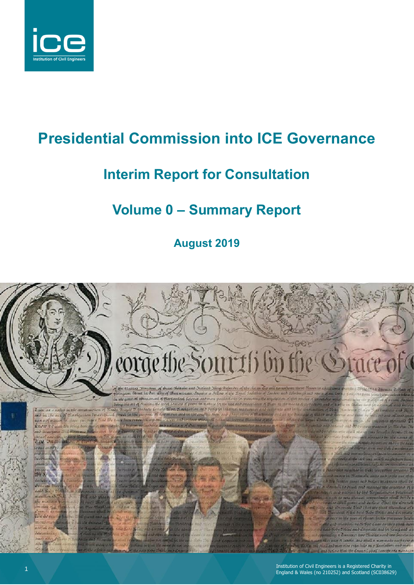

# **Presidential Commission into ICE Governance**

### **Interim Report for Consultation**

## **Volume 0 – Summary Report**

**August 2019**

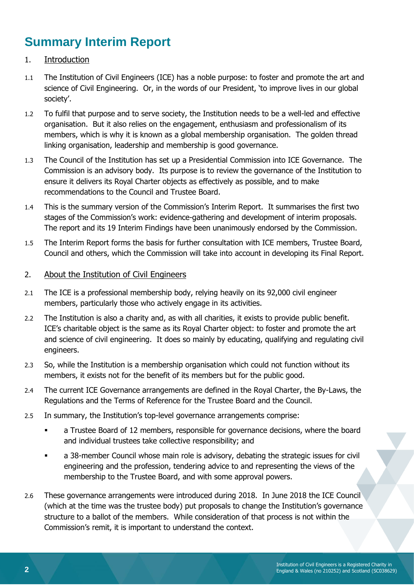### **Summary Interim Report**

- 1. Introduction
- 1.1 The Institution of Civil Engineers (ICE) has a noble purpose: to foster and promote the art and science of Civil Engineering. Or, in the words of our President, 'to improve lives in our global society'.
- 1.2 To fulfil that purpose and to serve society, the Institution needs to be a well-led and effective organisation. But it also relies on the engagement, enthusiasm and professionalism of its members, which is why it is known as a global membership organisation. The golden thread linking organisation, leadership and membership is good governance.
- 1.3 The Council of the Institution has set up a Presidential Commission into ICE Governance. The Commission is an advisory body. Its purpose is to review the governance of the Institution to ensure it delivers its Royal Charter objects as effectively as possible, and to make recommendations to the Council and Trustee Board.
- 1.4 This is the summary version of the Commission's Interim Report. It summarises the first two stages of the Commission's work: evidence-gathering and development of interim proposals. The report and its 19 Interim Findings have been unanimously endorsed by the Commission.
- 1.5 The Interim Report forms the basis for further consultation with ICE members, Trustee Board, Council and others, which the Commission will take into account in developing its Final Report.

#### 2. About the Institution of Civil Engineers

- 2.1 The ICE is a professional membership body, relying heavily on its 92,000 civil engineer members, particularly those who actively engage in its activities.
- 2.2 The Institution is also a charity and, as with all charities, it exists to provide public benefit. ICE's charitable object is the same as its Royal Charter object: to foster and promote the art and science of civil engineering. It does so mainly by educating, qualifying and regulating civil engineers.
- 2.3 So, while the Institution is a membership organisation which could not function without its members, it exists not for the benefit of its members but for the public good.
- 2.4 The current ICE Governance arrangements are defined in the Royal Charter, the By-Laws, the Regulations and the Terms of Reference for the Trustee Board and the Council.
- 2.5 In summary, the Institution's top-level governance arrangements comprise:
	- **■** a Trustee Board of 12 members, responsible for governance decisions, where the board and individual trustees take collective responsibility; and
	- **■** a 38-member Council whose main role is advisory, debating the strategic issues for civil engineering and the profession, tendering advice to and representing the views of the membership to the Trustee Board, and with some approval powers.
- 2.6 These governance arrangements were introduced during 2018. In June 2018 the ICE Council (which at the time was the trustee body) put proposals to change the Institution's governance structure to a ballot of the members. While consideration of that process is not within the Commission's remit, it is important to understand the context.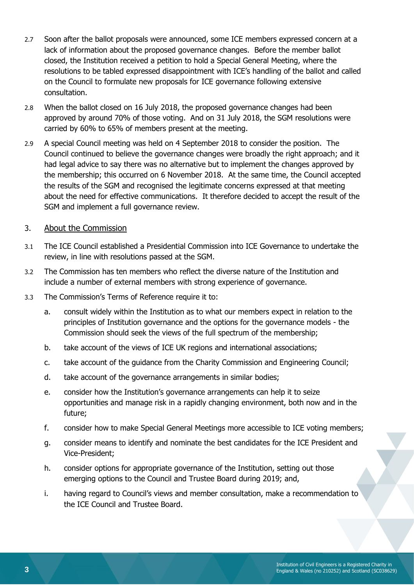- 2.7 Soon after the ballot proposals were announced, some ICE members expressed concern at a lack of information about the proposed governance changes. Before the member ballot closed, the Institution received a petition to hold a Special General Meeting, where the resolutions to be tabled expressed disappointment with ICE's handling of the ballot and called on the Council to formulate new proposals for ICE governance following extensive consultation.
- 2.8 When the ballot closed on 16 July 2018, the proposed governance changes had been approved by around 70% of those voting. And on 31 July 2018, the SGM resolutions were carried by 60% to 65% of members present at the meeting.
- 2.9 A special Council meeting was held on 4 September 2018 to consider the position. The Council continued to believe the governance changes were broadly the right approach; and it had legal advice to say there was no alternative but to implement the changes approved by the membership; this occurred on 6 November 2018. At the same time, the Council accepted the results of the SGM and recognised the legitimate concerns expressed at that meeting about the need for effective communications. It therefore decided to accept the result of the SGM and implement a full governance review.

#### 3. About the Commission

- 3.1 The ICE Council established a Presidential Commission into ICE Governance to undertake the review, in line with resolutions passed at the SGM.
- 3.2 The Commission has ten members who reflect the diverse nature of the Institution and include a number of external members with strong experience of governance.
- 3.3 The Commission's Terms of Reference require it to:
	- a. consult widely within the Institution as to what our members expect in relation to the principles of Institution governance and the options for the governance models - the Commission should seek the views of the full spectrum of the membership;
	- b. take account of the views of ICE UK regions and international associations;
	- c. take account of the guidance from the Charity Commission and Engineering Council;
	- d. take account of the governance arrangements in similar bodies;
	- e. consider how the Institution's governance arrangements can help it to seize opportunities and manage risk in a rapidly changing environment, both now and in the future;
	- f. consider how to make Special General Meetings more accessible to ICE voting members;
	- g. consider means to identify and nominate the best candidates for the ICE President and Vice-President;
	- h. consider options for appropriate governance of the Institution, setting out those emerging options to the Council and Trustee Board during 2019; and,
	- i. having regard to Council's views and member consultation, make a recommendation to the ICE Council and Trustee Board.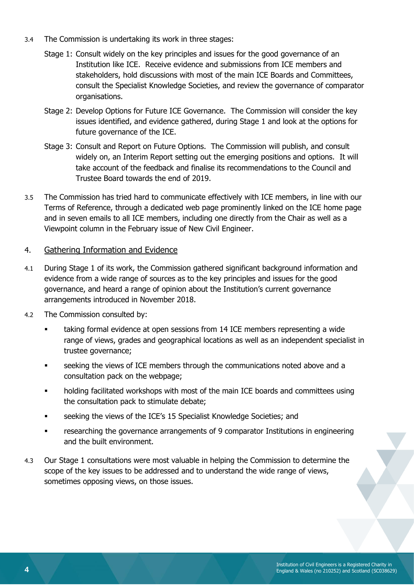- 3.4 The Commission is undertaking its work in three stages:
	- Stage 1: Consult widely on the key principles and issues for the good governance of an Institution like ICE. Receive evidence and submissions from ICE members and stakeholders, hold discussions with most of the main ICE Boards and Committees, consult the Specialist Knowledge Societies, and review the governance of comparator organisations.
	- Stage 2: Develop Options for Future ICE Governance. The Commission will consider the key issues identified, and evidence gathered, during Stage 1 and look at the options for future governance of the ICE.
	- Stage 3: Consult and Report on Future Options. The Commission will publish, and consult widely on, an Interim Report setting out the emerging positions and options. It will take account of the feedback and finalise its recommendations to the Council and Trustee Board towards the end of 2019.
- 3.5 The Commission has tried hard to communicate effectively with ICE members, in line with our Terms of Reference, through a dedicated web page prominently linked on the ICE home page and in seven emails to all ICE members, including one directly from the Chair as well as a Viewpoint column in the February issue of New Civil Engineer.

#### 4. Gathering Information and Evidence

- 4.1 During Stage 1 of its work, the Commission gathered significant background information and evidence from a wide range of sources as to the key principles and issues for the good governance, and heard a range of opinion about the Institution's current governance arrangements introduced in November 2018.
- 4.2 The Commission consulted by:
	- taking formal evidence at open sessions from 14 ICE members representing a wide range of views, grades and geographical locations as well as an independent specialist in trustee governance;
	- **EXECT** seeking the views of ICE members through the communications noted above and a consultation pack on the webpage;
	- holding facilitated workshops with most of the main ICE boards and committees using the consultation pack to stimulate debate;
	- seeking the views of the ICE's 15 Specialist Knowledge Societies; and
	- researching the governance arrangements of 9 comparator Institutions in engineering and the built environment.
- 4.3 Our Stage 1 consultations were most valuable in helping the Commission to determine the scope of the key issues to be addressed and to understand the wide range of views, sometimes opposing views, on those issues.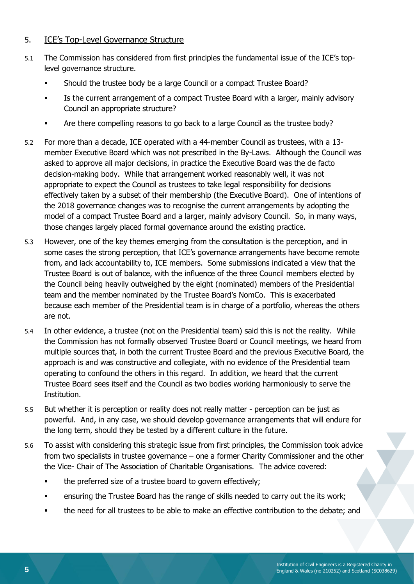#### 5. ICE's Top-Level Governance Structure

- 5.1 The Commission has considered from first principles the fundamental issue of the ICE's toplevel governance structure.
	- Should the trustee body be a large Council or a compact Trustee Board?
	- **•** Is the current arrangement of a compact Trustee Board with a larger, mainly advisory Council an appropriate structure?
	- Are there compelling reasons to go back to a large Council as the trustee body?
- 5.2 For more than a decade, ICE operated with a 44-member Council as trustees, with a 13 member Executive Board which was not prescribed in the By-Laws. Although the Council was asked to approve all major decisions, in practice the Executive Board was the de facto decision-making body. While that arrangement worked reasonably well, it was not appropriate to expect the Council as trustees to take legal responsibility for decisions effectively taken by a subset of their membership (the Executive Board). One of intentions of the 2018 governance changes was to recognise the current arrangements by adopting the model of a compact Trustee Board and a larger, mainly advisory Council. So, in many ways, those changes largely placed formal governance around the existing practice.
- 5.3 However, one of the key themes emerging from the consultation is the perception, and in some cases the strong perception, that ICE's governance arrangements have become remote from, and lack accountability to, ICE members. Some submissions indicated a view that the Trustee Board is out of balance, with the influence of the three Council members elected by the Council being heavily outweighed by the eight (nominated) members of the Presidential team and the member nominated by the Trustee Board's NomCo. This is exacerbated because each member of the Presidential team is in charge of a portfolio, whereas the others are not.
- 5.4 In other evidence, a trustee (not on the Presidential team) said this is not the reality. While the Commission has not formally observed Trustee Board or Council meetings, we heard from multiple sources that, in both the current Trustee Board and the previous Executive Board, the approach is and was constructive and collegiate, with no evidence of the Presidential team operating to confound the others in this regard. In addition, we heard that the current Trustee Board sees itself and the Council as two bodies working harmoniously to serve the Institution.
- 5.5 But whether it is perception or reality does not really matter perception can be just as powerful. And, in any case, we should develop governance arrangements that will endure for the long term, should they be tested by a different culture in the future.
- 5.6 To assist with considering this strategic issue from first principles, the Commission took advice from two specialists in trustee governance – one a former Charity Commissioner and the other the Vice- Chair of The Association of Charitable Organisations. The advice covered:
	- **•** the preferred size of a trustee board to govern effectively;
	- ensuring the Trustee Board has the range of skills needed to carry out the its work;
	- the need for all trustees to be able to make an effective contribution to the debate; and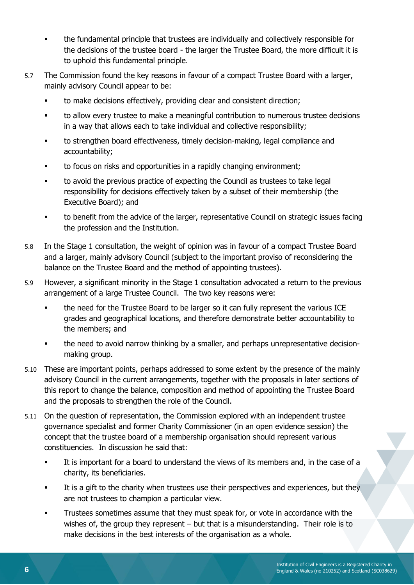- the fundamental principle that trustees are individually and collectively responsible for the decisions of the trustee board - the larger the Trustee Board, the more difficult it is to uphold this fundamental principle.
- 5.7 The Commission found the key reasons in favour of a compact Trustee Board with a larger, mainly advisory Council appear to be:
	- to make decisions effectively, providing clear and consistent direction;
	- to allow every trustee to make a meaningful contribution to numerous trustee decisions in a way that allows each to take individual and collective responsibility;
	- to strengthen board effectiveness, timely decision-making, legal compliance and accountability;
	- to focus on risks and opportunities in a rapidly changing environment;
	- to avoid the previous practice of expecting the Council as trustees to take legal responsibility for decisions effectively taken by a subset of their membership (the Executive Board); and
	- to benefit from the advice of the larger, representative Council on strategic issues facing the profession and the Institution.
- 5.8 In the Stage 1 consultation, the weight of opinion was in favour of a compact Trustee Board and a larger, mainly advisory Council (subject to the important proviso of reconsidering the balance on the Trustee Board and the method of appointing trustees).
- 5.9 However, a significant minority in the Stage 1 consultation advocated a return to the previous arrangement of a large Trustee Council. The two key reasons were:
	- the need for the Trustee Board to be larger so it can fully represent the various ICE grades and geographical locations, and therefore demonstrate better accountability to the members; and
	- the need to avoid narrow thinking by a smaller, and perhaps unrepresentative decisionmaking group.
- 5.10 These are important points, perhaps addressed to some extent by the presence of the mainly advisory Council in the current arrangements, together with the proposals in later sections of this report to change the balance, composition and method of appointing the Trustee Board and the proposals to strengthen the role of the Council.
- 5.11 On the question of representation, the Commission explored with an independent trustee governance specialist and former Charity Commissioner (in an open evidence session) the concept that the trustee board of a membership organisation should represent various constituencies. In discussion he said that:
	- It is important for a board to understand the views of its members and, in the case of a charity, its beneficiaries.
	- **EXECT** It is a gift to the charity when trustees use their perspectives and experiences, but they are not trustees to champion a particular view.
	- Trustees sometimes assume that they must speak for, or vote in accordance with the wishes of, the group they represent – but that is a misunderstanding. Their role is to make decisions in the best interests of the organisation as a whole.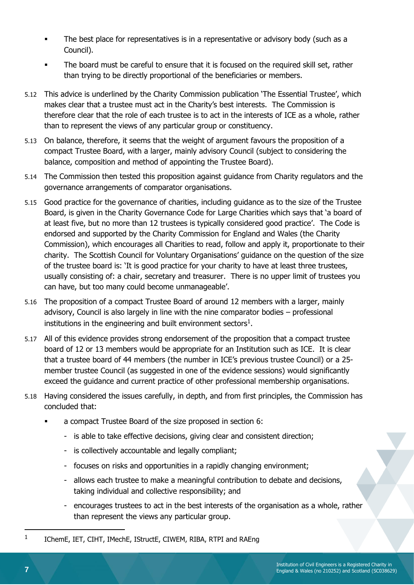- The best place for representatives is in a representative or advisory body (such as a Council).
- The board must be careful to ensure that it is focused on the required skill set, rather than trying to be directly proportional of the beneficiaries or members.
- 5.12 This advice is underlined by the Charity Commission publication 'The Essential Trustee', which makes clear that a trustee must act in the Charity's best interests. The Commission is therefore clear that the role of each trustee is to act in the interests of ICE as a whole, rather than to represent the views of any particular group or constituency.
- 5.13 On balance, therefore, it seems that the weight of argument favours the proposition of a compact Trustee Board, with a larger, mainly advisory Council (subject to considering the balance, composition and method of appointing the Trustee Board).
- 5.14 The Commission then tested this proposition against guidance from Charity regulators and the governance arrangements of comparator organisations.
- 5.15 Good practice for the governance of charities, including guidance as to the size of the Trustee Board, is given in the Charity Governance Code for Large Charities which says that 'a board of at least five, but no more than 12 trustees is typically considered good practice'. The Code is endorsed and supported by the Charity Commission for England and Wales (the Charity Commission), which encourages all Charities to read, follow and apply it, proportionate to their charity. The Scottish Council for Voluntary Organisations' guidance on the question of the size of the trustee board is: 'It is good practice for your charity to have at least three trustees, usually consisting of: a chair, secretary and treasurer. There is no upper limit of trustees you can have, but too many could become unmanageable'.
- 5.16 The proposition of a compact Trustee Board of around 12 members with a larger, mainly advisory, Council is also largely in line with the nine comparator bodies – professional institutions in the engineering and built environment sectors<sup>1</sup>.
- 5.17 All of this evidence provides strong endorsement of the proposition that a compact trustee board of 12 or 13 members would be appropriate for an Institution such as ICE. It is clear that a trustee board of 44 members (the number in ICE's previous trustee Council) or a 25 member trustee Council (as suggested in one of the evidence sessions) would significantly exceed the guidance and current practice of other professional membership organisations.
- 5.18 Having considered the issues carefully, in depth, and from first principles, the Commission has concluded that:
	- a compact Trustee Board of the size proposed in section 6:
		- is able to take effective decisions, giving clear and consistent direction;
		- is collectively accountable and legally compliant;
		- focuses on risks and opportunities in a rapidly changing environment;
		- allows each trustee to make a meaningful contribution to debate and decisions, taking individual and collective responsibility; and
		- encourages trustees to act in the best interests of the organisation as a whole, rather than represent the views any particular group.

 $\overline{a}$ 

<sup>1</sup> IChemE, IET, CIHT, IMechE, IStructE, CIWEM, RIBA, RTPI and RAEng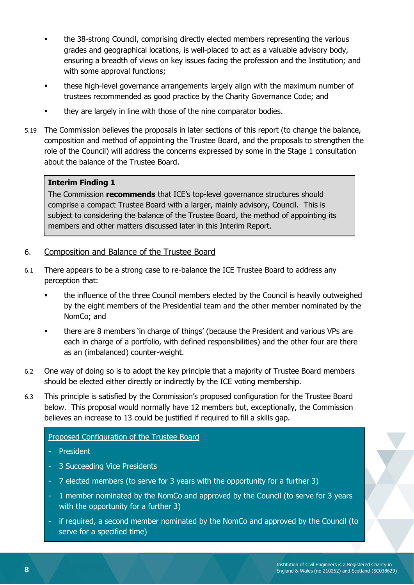- the 38-strong Council, comprising directly elected members representing the various grades and geographical locations, is well-placed to act as a valuable advisory body, ensuring a breadth of views on key issues facing the profession and the Institution; and with some approval functions;
- these high-level governance arrangements largely align with the maximum number of trustees recommended as good practice by the Charity Governance Code; and
- they are largely in line with those of the nine comparator bodies.
- 5.19 The Commission believes the proposals in later sections of this report (to change the balance, composition and method of appointing the Trustee Board, and the proposals to strengthen the role of the Council) will address the concerns expressed by some in the Stage 1 consultation about the balance of the Trustee Board.

#### 5.20 **Interim Finding 1**

The Commission **recommends** that ICE's top-level governance structures should comprise a compact Trustee Board with a larger, mainly advisory, Council. This is subject to considering the balance of the Trustee Board, the method of appointing its members and other matters discussed later in this Interim Report.

#### <span id="page-7-0"></span>6. Composition and Balance of the Trustee Board

- 6.1 There appears to be a strong case to re-balance the ICE Trustee Board to address any perception that:
	- the influence of the three Council members elected by the Council is heavily outweighed by the eight members of the Presidential team and the other member nominated by the NomCo; and
	- there are 8 members 'in charge of things' (because the President and various VPs are each in charge of a portfolio, with defined responsibilities) and the other four are there as an (imbalanced) counter-weight.
- 6.2 One way of doing so is to adopt the key principle that a majority of Trustee Board members should be elected either directly or indirectly by the ICE voting membership.
- 6.3 This principle is satisfied by the Commission's proposed configuration for the Trustee Board below. This proposal would normally have 12 members but, exceptionally, the Commission believes an increase to 13 could be justified if required to fill a skills gap.

#### Proposed Configuration of the Trustee Board

- President
- 3 Succeeding Vice Presidents
- 7 elected members (to serve for 3 years with the opportunity for a further 3)
- 1 member nominated by the NomCo and approved by the Council (to serve for 3 years with the opportunity for a further 3)
- if required, a second member nominated by the NomCo and approved by the Council (to serve for a specified time)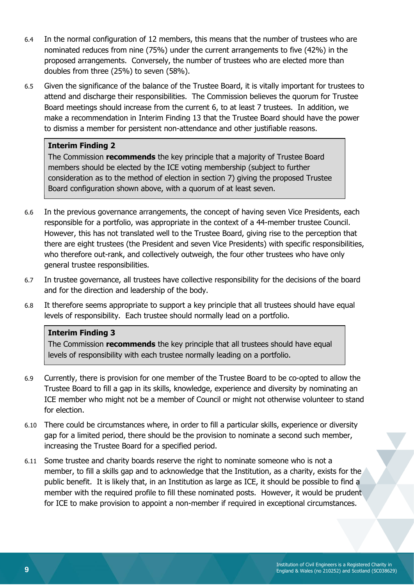- 6.4 In the normal configuration of 12 members, this means that the number of trustees who are nominated reduces from nine (75%) under the current arrangements to five (42%) in the proposed arrangements. Conversely, the number of trustees who are elected more than doubles from three (25%) to seven (58%).
- 6.5 Given the significance of the balance of the Trustee Board, it is vitally important for trustees to attend and discharge their responsibilities. The Commission believes the quorum for Trustee Board meetings should increase from the current 6, to at least 7 trustees. In addition, we make a recommendation in Interim Finding 13 that the Trustee Board should have the power to dismiss a member for persistent non-attendance and other justifiable reasons.

The Commission **recommends** the key principle that a majority of Trustee Board members should be elected by the ICE voting membership (subject to further consideration as to the method of election in section [7\)](#page-9-0) giving the proposed Trustee Board configuration shown above, with a quorum of at least seven.

- 6.6 In the previous governance arrangements, the concept of having seven Vice Presidents, each responsible for a portfolio, was appropriate in the context of a 44-member trustee Council. However, this has not translated well to the Trustee Board, giving rise to the perception that there are eight trustees (the President and seven Vice Presidents) with specific responsibilities, who therefore out-rank, and collectively outweigh, the four other trustees who have only general trustee responsibilities.
- 6.7 In trustee governance, all trustees have collective responsibility for the decisions of the board and for the direction and leadership of the body.
- 6.8 It therefore seems appropriate to support a key principle that all trustees should have equal levels of responsibility. Each trustee should normally lead on a portfolio.

#### **Interim Finding 3**

The Commission **recommends** the key principle that all trustees should have equal levels of responsibility with each trustee normally leading on a portfolio.

- 6.9 Currently, there is provision for one member of the Trustee Board to be co-opted to allow the Trustee Board to fill a gap in its skills, knowledge, experience and diversity by nominating an ICE member who might not be a member of Council or might not otherwise volunteer to stand for election.
- 6.10 There could be circumstances where, in order to fill a particular skills, experience or diversity gap for a limited period, there should be the provision to nominate a second such member, increasing the Trustee Board for a specified period.
- 6.11 Some trustee and charity boards reserve the right to nominate someone who is not a member, to fill a skills gap and to acknowledge that the Institution, as a charity, exists for the public benefit. It is likely that, in an Institution as large as ICE, it should be possible to find a member with the required profile to fill these nominated posts. However, it would be prudent for ICE to make provision to appoint a non-member if required in exceptional circumstances.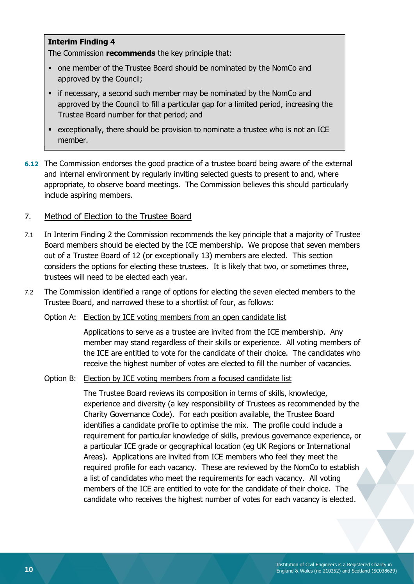The Commission **recommends** the key principle that:

- one member of the Trustee Board should be nominated by the NomCo and approved by the Council;
- **•** if necessary, a second such member may be nominated by the NomCo and approved by the Council to fill a particular gap for a limited period, increasing the Trustee Board number for that period; and
- exceptionally, there should be provision to nominate a trustee who is not an ICE member.
- **6.12** The Commission endorses the good practice of a trustee board being aware of the external and internal environment by regularly inviting selected guests to present to and, where appropriate, to observe board meetings. The Commission believes this should particularly include aspiring members.

#### <span id="page-9-0"></span>7. Method of Election to the Trustee Board

- 7.1 In Interim Finding 2 the Commission recommends the key principle that a majority of Trustee Board members should be elected by the ICE membership. We propose that seven members out of a Trustee Board of 12 (or exceptionally 13) members are elected. This section considers the options for electing these trustees. It is likely that two, or sometimes three, trustees will need to be elected each year.
- 7.2 The Commission identified a range of options for electing the seven elected members to the Trustee Board, and narrowed these to a shortlist of four, as follows:
	- Option A: Election by ICE voting members from an open candidate list

Applications to serve as a trustee are invited from the ICE membership. Any member may stand regardless of their skills or experience. All voting members of the ICE are entitled to vote for the candidate of their choice. The candidates who receive the highest number of votes are elected to fill the number of vacancies.

Option B: Election by ICE voting members from a focused candidate list

The Trustee Board reviews its composition in terms of skills, knowledge, experience and diversity (a key responsibility of Trustees as recommended by the Charity Governance Code). For each position available, the Trustee Board identifies a candidate profile to optimise the mix. The profile could include a requirement for particular knowledge of skills, previous governance experience, or a particular ICE grade or geographical location (eg UK Regions or International Areas). Applications are invited from ICE members who feel they meet the required profile for each vacancy. These are reviewed by the NomCo to establish a list of candidates who meet the requirements for each vacancy. All voting members of the ICE are entitled to vote for the candidate of their choice. The candidate who receives the highest number of votes for each vacancy is elected.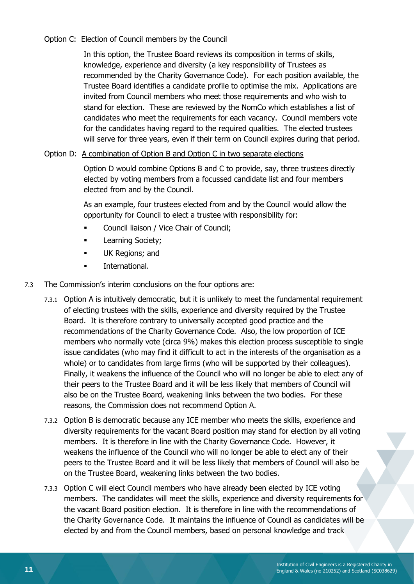#### Option C: Election of Council members by the Council

In this option, the Trustee Board reviews its composition in terms of skills, knowledge, experience and diversity (a key responsibility of Trustees as recommended by the Charity Governance Code). For each position available, the Trustee Board identifies a candidate profile to optimise the mix. Applications are invited from Council members who meet those requirements and who wish to stand for election. These are reviewed by the NomCo which establishes a list of candidates who meet the requirements for each vacancy. Council members vote for the candidates having regard to the required qualities. The elected trustees will serve for three years, even if their term on Council expires during that period.

#### Option D: A combination of Option B and Option C in two separate elections

Option D would combine Options B and C to provide, say, three trustees directly elected by voting members from a focussed candidate list and four members elected from and by the Council.

As an example, four trustees elected from and by the Council would allow the opportunity for Council to elect a trustee with responsibility for:

- Council liaison / Vice Chair of Council;
- **■** Learning Society;
- UK Regions; and
- International.
- 7.3 The Commission's interim conclusions on the four options are:
	- 7.3.1 Option A is intuitively democratic, but it is unlikely to meet the fundamental requirement of electing trustees with the skills, experience and diversity required by the Trustee Board. It is therefore contrary to universally accepted good practice and the recommendations of the Charity Governance Code. Also, the low proportion of ICE members who normally vote (circa 9%) makes this election process susceptible to single issue candidates (who may find it difficult to act in the interests of the organisation as a whole) or to candidates from large firms (who will be supported by their colleagues). Finally, it weakens the influence of the Council who will no longer be able to elect any of their peers to the Trustee Board and it will be less likely that members of Council will also be on the Trustee Board, weakening links between the two bodies. For these reasons, the Commission does not recommend Option A.
	- 7.3.2 Option B is democratic because any ICE member who meets the skills, experience and diversity requirements for the vacant Board position may stand for election by all voting members. It is therefore in line with the Charity Governance Code. However, it weakens the influence of the Council who will no longer be able to elect any of their peers to the Trustee Board and it will be less likely that members of Council will also be on the Trustee Board, weakening links between the two bodies.
	- 7.3.3 Option C will elect Council members who have already been elected by ICE voting members. The candidates will meet the skills, experience and diversity requirements for the vacant Board position election. It is therefore in line with the recommendations of the Charity Governance Code. It maintains the influence of Council as candidates will be elected by and from the Council members, based on personal knowledge and track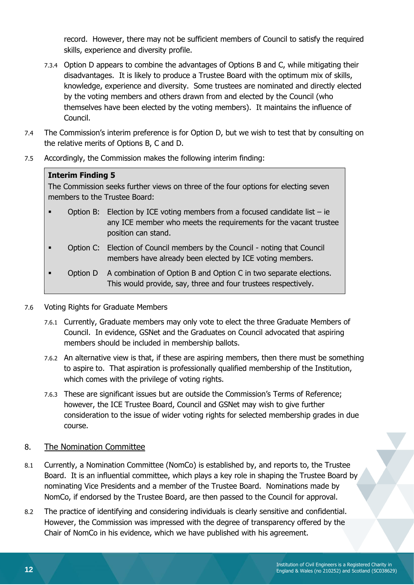record. However, there may not be sufficient members of Council to satisfy the required skills, experience and diversity profile.

- 7.3.4 Option D appears to combine the advantages of Options B and C, while mitigating their disadvantages. It is likely to produce a Trustee Board with the optimum mix of skills, knowledge, experience and diversity. Some trustees are nominated and directly elected by the voting members and others drawn from and elected by the Council (who themselves have been elected by the voting members). It maintains the influence of Council.
- 7.4 The Commission's interim preference is for Option D, but we wish to test that by consulting on the relative merits of Options B, C and D.
- 7.5 Accordingly, the Commission makes the following interim finding:

#### **Interim Finding 5**

The Commission seeks further views on three of the four options for electing seven members to the Trustee Board:

- Option B: Election by ICE voting members from a focused candidate list ie any ICE member who meets the requirements for the vacant trustee position can stand.
- Option C: Election of Council members by the Council noting that Council members have already been elected by ICE voting members.
- Option D A combination of Option B and Option C in two separate elections. This would provide, say, three and four trustees respectively.

#### 7.6 Voting Rights for Graduate Members

- 7.6.1 Currently, Graduate members may only vote to elect the three Graduate Members of Council. In evidence, GSNet and the Graduates on Council advocated that aspiring members should be included in membership ballots.
- 7.6.2 An alternative view is that, if these are aspiring members, then there must be something to aspire to. That aspiration is professionally qualified membership of the Institution, which comes with the privilege of voting rights.
- 7.6.3 These are significant issues but are outside the Commission's Terms of Reference; however, the ICE Trustee Board, Council and GSNet may wish to give further consideration to the issue of wider voting rights for selected membership grades in due course.

#### 8. The Nomination Committee

- 8.1 Currently, a Nomination Committee (NomCo) is established by, and reports to, the Trustee Board. It is an influential committee, which plays a key role in shaping the Trustee Board by nominating Vice Presidents and a member of the Trustee Board. Nominations made by NomCo, if endorsed by the Trustee Board, are then passed to the Council for approval.
- 8.2 The practice of identifying and considering individuals is clearly sensitive and confidential. However, the Commission was impressed with the degree of transparency offered by the Chair of NomCo in his evidence, which we have published with his agreement.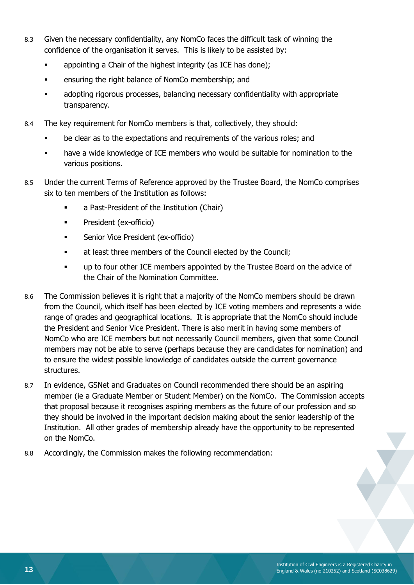- 8.3 Given the necessary confidentiality, any NomCo faces the difficult task of winning the confidence of the organisation it serves. This is likely to be assisted by:
	- **•** appointing a Chair of the highest integrity (as ICE has done);
	- **•** ensuring the right balance of NomCo membership; and
	- adopting rigorous processes, balancing necessary confidentiality with appropriate transparency.
- 8.4 The key requirement for NomCo members is that, collectively, they should:
	- be clear as to the expectations and requirements of the various roles; and
	- have a wide knowledge of ICE members who would be suitable for nomination to the various positions.
- 8.5 Under the current Terms of Reference approved by the Trustee Board, the NomCo comprises six to ten members of the Institution as follows:
	- a Past-President of the Institution (Chair)
	- President (ex-officio)
	- **■** Senior Vice President (ex-officio)
	- at least three members of the Council elected by the Council;
	- up to four other ICE members appointed by the Trustee Board on the advice of the Chair of the Nomination Committee.
- 8.6 The Commission believes it is right that a majority of the NomCo members should be drawn from the Council, which itself has been elected by ICE voting members and represents a wide range of grades and geographical locations. It is appropriate that the NomCo should include the President and Senior Vice President. There is also merit in having some members of NomCo who are ICE members but not necessarily Council members, given that some Council members may not be able to serve (perhaps because they are candidates for nomination) and to ensure the widest possible knowledge of candidates outside the current governance structures.
- 8.7 In evidence, GSNet and Graduates on Council recommended there should be an aspiring member (ie a Graduate Member or Student Member) on the NomCo. The Commission accepts that proposal because it recognises aspiring members as the future of our profession and so they should be involved in the important decision making about the senior leadership of the Institution. All other grades of membership already have the opportunity to be represented on the NomCo.
- 8.8 Accordingly, the Commission makes the following recommendation: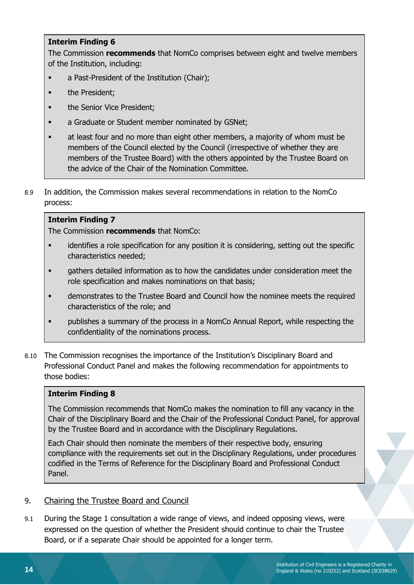The Commission **recommends** that NomCo comprises between eight and twelve members of the Institution, including:

- a Past-President of the Institution (Chair);
- the President;
- **the Senior Vice President:**
- **■** a Graduate or Student member nominated by GSNet;
- at least four and no more than eight other members, a majority of whom must be members of the Council elected by the Council (irrespective of whether they are members of the Trustee Board) with the others appointed by the Trustee Board on the advice of the Chair of the Nomination Committee.
- 8.9 In addition, the Commission makes several recommendations in relation to the NomCo process:

#### **Interim Finding 7**

The Commission **recommends** that NomCo:

- identifies a role specification for any position it is considering, setting out the specific characteristics needed;
- **•** gathers detailed information as to how the candidates under consideration meet the role specification and makes nominations on that basis;
- demonstrates to the Trustee Board and Council how the nominee meets the required characteristics of the role; and
- publishes a summary of the process in a NomCo Annual Report, while respecting the confidentiality of the nominations process.
- 8.10 The Commission recognises the importance of the Institution's Disciplinary Board and Professional Conduct Panel and makes the following recommendation for appointments to those bodies:

#### **Interim Finding 8**

The Commission recommends that NomCo makes the nomination to fill any vacancy in the Chair of the Disciplinary Board and the Chair of the Professional Conduct Panel, for approval by the Trustee Board and in accordance with the Disciplinary Regulations.

Each Chair should then nominate the members of their respective body, ensuring compliance with the requirements set out in the Disciplinary Regulations, under procedures codified in the Terms of Reference for the Disciplinary Board and Professional Conduct Panel.

#### 9. Chairing the Trustee Board and Council

9.1 During the Stage 1 consultation a wide range of views, and indeed opposing views, were expressed on the question of whether the President should continue to chair the Trustee Board, or if a separate Chair should be appointed for a longer term.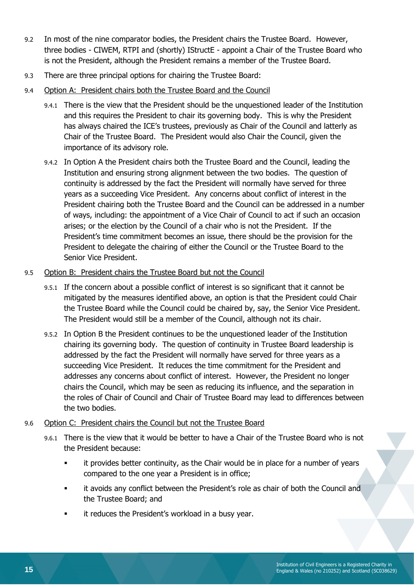- 9.2 In most of the nine comparator bodies, the President chairs the Trustee Board. However, three bodies - CIWEM, RTPI and (shortly) IStructE - appoint a Chair of the Trustee Board who is not the President, although the President remains a member of the Trustee Board.
- 9.3 There are three principal options for chairing the Trustee Board:
- 9.4 Option A: President chairs both the Trustee Board and the Council
	- 9.4.1 There is the view that the President should be the unquestioned leader of the Institution and this requires the President to chair its governing body. This is why the President has always chaired the ICE's trustees, previously as Chair of the Council and latterly as Chair of the Trustee Board. The President would also Chair the Council, given the importance of its advisory role.
	- 9.4.2 In Option A the President chairs both the Trustee Board and the Council, leading the Institution and ensuring strong alignment between the two bodies. The question of continuity is addressed by the fact the President will normally have served for three years as a succeeding Vice President. Any concerns about conflict of interest in the President chairing both the Trustee Board and the Council can be addressed in a number of ways, including: the appointment of a Vice Chair of Council to act if such an occasion arises; or the election by the Council of a chair who is not the President. If the President's time commitment becomes an issue, there should be the provision for the President to delegate the chairing of either the Council or the Trustee Board to the Senior Vice President.

#### 9.5 Option B: President chairs the Trustee Board but not the Council

- 9.5.1 If the concern about a possible conflict of interest is so significant that it cannot be mitigated by the measures identified above, an option is that the President could Chair the Trustee Board while the Council could be chaired by, say, the Senior Vice President. The President would still be a member of the Council, although not its chair.
- 9.5.2 In Option B the President continues to be the unquestioned leader of the Institution chairing its governing body. The question of continuity in Trustee Board leadership is addressed by the fact the President will normally have served for three years as a succeeding Vice President. It reduces the time commitment for the President and addresses any concerns about conflict of interest. However, the President no longer chairs the Council, which may be seen as reducing its influence, and the separation in the roles of Chair of Council and Chair of Trustee Board may lead to differences between the two bodies.

#### 9.6 Option C: President chairs the Council but not the Trustee Board

- 9.6.1 There is the view that it would be better to have a Chair of the Trustee Board who is not the President because:
	- it provides better continuity, as the Chair would be in place for a number of years compared to the one year a President is in office;
	- it avoids any conflict between the President's role as chair of both the Council and the Trustee Board; and
	- it reduces the President's workload in a busy year.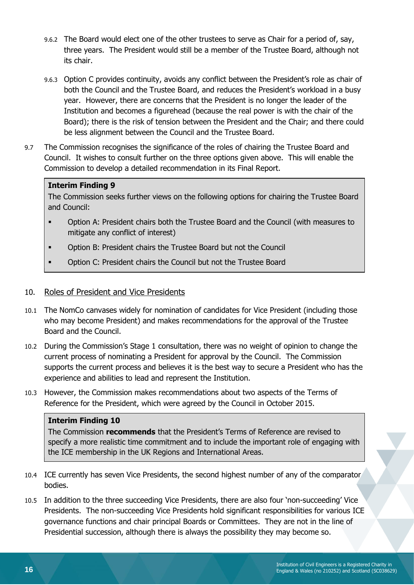- 9.6.2 The Board would elect one of the other trustees to serve as Chair for a period of, say, three years. The President would still be a member of the Trustee Board, although not its chair.
- 9.6.3 Option C provides continuity, avoids any conflict between the President's role as chair of both the Council and the Trustee Board, and reduces the President's workload in a busy year. However, there are concerns that the President is no longer the leader of the Institution and becomes a figurehead (because the real power is with the chair of the Board); there is the risk of tension between the President and the Chair; and there could be less alignment between the Council and the Trustee Board.
- 9.7 The Commission recognises the significance of the roles of chairing the Trustee Board and Council. It wishes to consult further on the three options given above. This will enable the Commission to develop a detailed recommendation in its Final Report.

The Commission seeks further views on the following options for chairing the Trustee Board and Council:

- Option A: President chairs both the Trustee Board and the Council (with measures to mitigate any conflict of interest)
- Option B: President chairs the Trustee Board but not the Council
- Option C: President chairs the Council but not the Trustee Board

#### 10. Roles of President and Vice Presidents

- 10.1 The NomCo canvases widely for nomination of candidates for Vice President (including those who may become President) and makes recommendations for the approval of the Trustee Board and the Council.
- 10.2 During the Commission's Stage 1 consultation, there was no weight of opinion to change the current process of nominating a President for approval by the Council. The Commission supports the current process and believes it is the best way to secure a President who has the experience and abilities to lead and represent the Institution.
- 10.3 However, the Commission makes recommendations about two aspects of the Terms of Reference for the President, which were agreed by the Council in October 2015.

#### **Interim Finding 10**

The Commission **recommends** that the President's Terms of Reference are revised to specify a more realistic time commitment and to include the important role of engaging with the ICE membership in the UK Regions and International Areas.

- 10.4 ICE currently has seven Vice Presidents, the second highest number of any of the comparator bodies.
- 10.5 In addition to the three succeeding Vice Presidents, there are also four 'non-succeeding' Vice Presidents. The non-succeeding Vice Presidents hold significant responsibilities for various ICE governance functions and chair principal Boards or Committees. They are not in the line of Presidential succession, although there is always the possibility they may become so.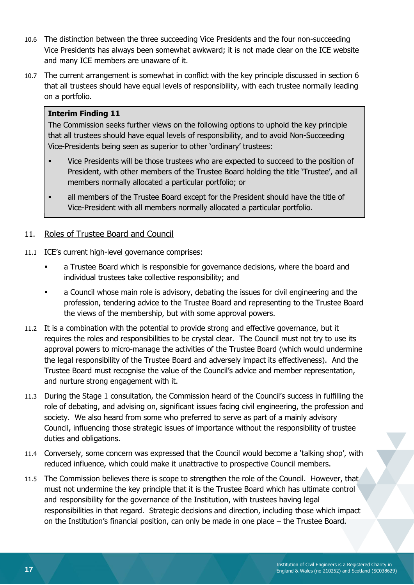- 10.6 The distinction between the three succeeding Vice Presidents and the four non-succeeding Vice Presidents has always been somewhat awkward; it is not made clear on the ICE website and many ICE members are unaware of it.
- 10.7 The current arrangement is somewhat in conflict with the key principle discussed in section [6](#page-7-0) that all trustees should have equal levels of responsibility, with each trustee normally leading on a portfolio.

The Commission seeks further views on the following options to uphold the key principle that all trustees should have equal levels of responsibility, and to avoid Non-Succeeding Vice-Presidents being seen as superior to other 'ordinary' trustees:

- Vice Presidents will be those trustees who are expected to succeed to the position of President, with other members of the Trustee Board holding the title 'Trustee', and all members normally allocated a particular portfolio; or
- all members of the Trustee Board except for the President should have the title of Vice-President with all members normally allocated a particular portfolio.

#### 11. Roles of Trustee Board and Council

- 11.1 ICE's current high-level governance comprises:
	- a Trustee Board which is responsible for governance decisions, where the board and individual trustees take collective responsibility; and
	- a Council whose main role is advisory, debating the issues for civil engineering and the profession, tendering advice to the Trustee Board and representing to the Trustee Board the views of the membership, but with some approval powers.
- 11.2 It is a combination with the potential to provide strong and effective governance, but it requires the roles and responsibilities to be crystal clear. The Council must not try to use its approval powers to micro-manage the activities of the Trustee Board (which would undermine the legal responsibility of the Trustee Board and adversely impact its effectiveness). And the Trustee Board must recognise the value of the Council's advice and member representation, and nurture strong engagement with it.
- 11.3 During the Stage 1 consultation, the Commission heard of the Council's success in fulfilling the role of debating, and advising on, significant issues facing civil engineering, the profession and society. We also heard from some who preferred to serve as part of a mainly advisory Council, influencing those strategic issues of importance without the responsibility of trustee duties and obligations.
- 11.4 Conversely, some concern was expressed that the Council would become a 'talking shop', with reduced influence, which could make it unattractive to prospective Council members.
- 11.5 The Commission believes there is scope to strengthen the role of the Council. However, that must not undermine the key principle that it is the Trustee Board which has ultimate control and responsibility for the governance of the Institution, with trustees having legal responsibilities in that regard. Strategic decisions and direction, including those which impact on the Institution's financial position, can only be made in one place – the Trustee Board.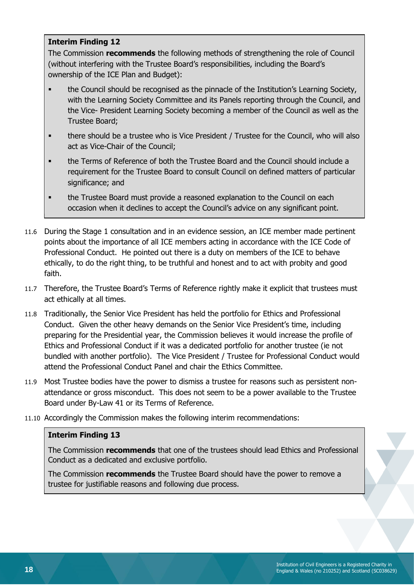The Commission **recommends** the following methods of strengthening the role of Council (without interfering with the Trustee Board's responsibilities, including the Board's ownership of the ICE Plan and Budget):

- **•** the Council should be recognised as the pinnacle of the Institution's Learning Society, with the Learning Society Committee and its Panels reporting through the Council, and the Vice- President Learning Society becoming a member of the Council as well as the Trustee Board;
- **•** there should be a trustee who is Vice President / Trustee for the Council, who will also act as Vice-Chair of the Council;
- the Terms of Reference of both the Trustee Board and the Council should include a requirement for the Trustee Board to consult Council on defined matters of particular significance; and
- the Trustee Board must provide a reasoned explanation to the Council on each occasion when it declines to accept the Council's advice on any significant point.
- 11.6 During the Stage 1 consultation and in an evidence session, an ICE member made pertinent points about the importance of all ICE members acting in accordance with the ICE Code of Professional Conduct. He pointed out there is a duty on members of the ICE to behave ethically, to do the right thing, to be truthful and honest and to act with probity and good faith.
- 11.7 Therefore, the Trustee Board's Terms of Reference rightly make it explicit that trustees must act ethically at all times.
- 11.8 Traditionally, the Senior Vice President has held the portfolio for Ethics and Professional Conduct. Given the other heavy demands on the Senior Vice President's time, including preparing for the Presidential year, the Commission believes it would increase the profile of Ethics and Professional Conduct if it was a dedicated portfolio for another trustee (ie not bundled with another portfolio). The Vice President / Trustee for Professional Conduct would attend the Professional Conduct Panel and chair the Ethics Committee.
- 11.9 Most Trustee bodies have the power to dismiss a trustee for reasons such as persistent nonattendance or gross misconduct. This does not seem to be a power available to the Trustee Board under By-Law 41 or its Terms of Reference.
- 11.10 Accordingly the Commission makes the following interim recommendations:

#### **Interim Finding 13**

The Commission **recommends** that one of the trustees should lead Ethics and Professional Conduct as a dedicated and exclusive portfolio.

The Commission **recommends** the Trustee Board should have the power to remove a trustee for justifiable reasons and following due process.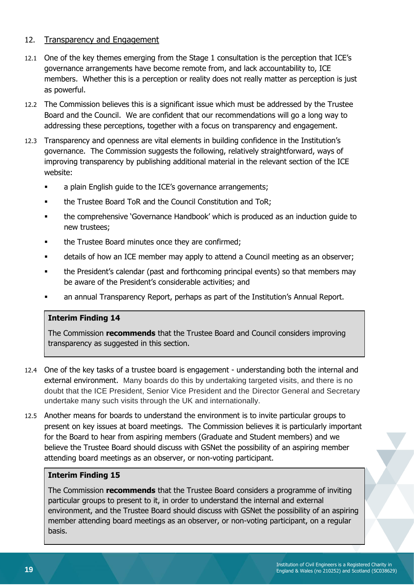#### 12. Transparency and Engagement

- 12.1 One of the key themes emerging from the Stage 1 consultation is the perception that ICE's governance arrangements have become remote from, and lack accountability to, ICE members. Whether this is a perception or reality does not really matter as perception is just as powerful.
- 12.2 The Commission believes this is a significant issue which must be addressed by the Trustee Board and the Council. We are confident that our recommendations will go a long way to addressing these perceptions, together with a focus on transparency and engagement.
- 12.3 Transparency and openness are vital elements in building confidence in the Institution's governance. The Commission suggests the following, relatively straightforward, ways of improving transparency by publishing additional material in the relevant section of the ICE website:
	- **■** a plain English guide to the ICE's governance arrangements;
	- the Trustee Board ToR and the Council Constitution and ToR:
	- the comprehensive 'Governance Handbook' which is produced as an induction guide to new trustees;
	- the Trustee Board minutes once they are confirmed;
	- details of how an ICE member may apply to attend a Council meeting as an observer;
	- **•** the President's calendar (past and forthcoming principal events) so that members may be aware of the President's considerable activities; and
	- an annual Transparency Report, perhaps as part of the Institution's Annual Report.

#### **Interim Finding 14**

The Commission **recommends** that the Trustee Board and Council considers improving transparency as suggested in this section.

- 12.4 One of the key tasks of a trustee board is engagement understanding both the internal and external environment. Many boards do this by undertaking targeted visits, and there is no doubt that the ICE President, Senior Vice President and the Director General and Secretary undertake many such visits through the UK and internationally.
- 12.5 Another means for boards to understand the environment is to invite particular groups to present on key issues at board meetings. The Commission believes it is particularly important for the Board to hear from aspiring members (Graduate and Student members) and we believe the Trustee Board should discuss with GSNet the possibility of an aspiring member attending board meetings as an observer, or non-voting participant.

#### **Interim Finding 15**

The Commission **recommends** that the Trustee Board considers a programme of inviting particular groups to present to it, in order to understand the internal and external environment, and the Trustee Board should discuss with GSNet the possibility of an aspiring member attending board meetings as an observer, or non-voting participant, on a regular basis.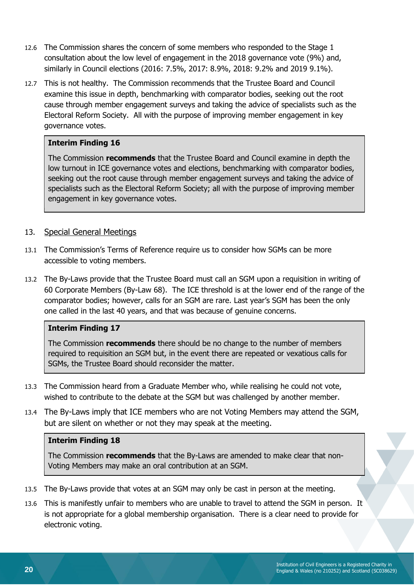- 12.6 The Commission shares the concern of some members who responded to the Stage 1 consultation about the low level of engagement in the 2018 governance vote (9%) and, similarly in Council elections (2016: 7.5%, 2017: 8.9%, 2018: 9.2% and 2019 9.1%).
- 12.7 This is not healthy. The Commission recommends that the Trustee Board and Council examine this issue in depth, benchmarking with comparator bodies, seeking out the root cause through member engagement surveys and taking the advice of specialists such as the Electoral Reform Society. All with the purpose of improving member engagement in key governance votes.

The Commission **recommends** that the Trustee Board and Council examine in depth the low turnout in ICE governance votes and elections, benchmarking with comparator bodies, seeking out the root cause through member engagement surveys and taking the advice of specialists such as the Electoral Reform Society; all with the purpose of improving member engagement in key governance votes.

#### 13. Special General Meetings

- 13.1 The Commission's Terms of Reference require us to consider how SGMs can be more accessible to voting members.
- 13.2 The By-Laws provide that the Trustee Board must call an SGM upon a requisition in writing of 60 Corporate Members (By-Law 68). The ICE threshold is at the lower end of the range of the comparator bodies; however, calls for an SGM are rare. Last year's SGM has been the only one called in the last 40 years, and that was because of genuine concerns.

#### **Interim Finding 17**

The Commission **recommends** there should be no change to the number of members required to requisition an SGM but, in the event there are repeated or vexatious calls for SGMs, the Trustee Board should reconsider the matter.

- 13.3 The Commission heard from a Graduate Member who, while realising he could not vote, wished to contribute to the debate at the SGM but was challenged by another member.
- 13.4 The By-Laws imply that ICE members who are not Voting Members may attend the SGM, but are silent on whether or not they may speak at the meeting.

#### **Interim Finding 18**

The Commission **recommends** that the By-Laws are amended to make clear that non-Voting Members may make an oral contribution at an SGM.

- 13.5 The By-Laws provide that votes at an SGM may only be cast in person at the meeting.
- 13.6 This is manifestly unfair to members who are unable to travel to attend the SGM in person. It is not appropriate for a global membership organisation. There is a clear need to provide for electronic voting.